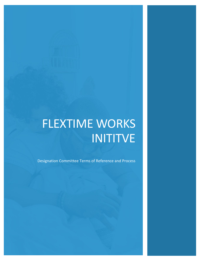# FLEXTIME WORKS INITITVE

Designation Committee Terms of Reference and Process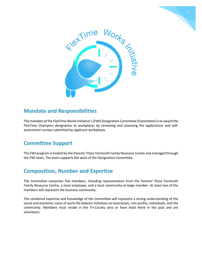



## **Mandate and Responsibilities**

The mandate of the FlexTime Works Initiative's (FWI) Designation Committee (Committee) is to award the FlexTime Champion designation to workplaces by reviewing and assessing the applications and selfassessment surveys submitted by applicant workplaces.

## **Committee Support**

The FWI program is hosted by the Parents' Place Yarmouth Family Resource Centre and managed through the FWI team. The team supports the work of the Designation Committee.

## **Composition, Number and Expertise**

The Committee comprises five members, including representation from the Parents' Place Yarmouth Family Resource Centre, a local employee, and a local community-at-large member. At least two of the members will represent the business community.

The combined expertise and knowledge of the Committee will represent a strong understanding of the social and economic value of work-life balance initiatives on businesses, non-profits, individuals, and the community. Members must reside in the Tri-County area or have lived there in the past and are volunteers.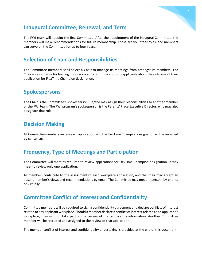#### **Inaugural Committee, Renewal, and Term**

The FWI team will appoint the first Committee. After the appointment of the inaugural Committee, the members will make recommendations for future membership. These are volunteer roles, and members can serve on the Committee for up to four years.

## **Selection of Chair and Responsibilities**

The Committee members shall select a Chair to manage its meetings from amongst its members. The Chair is responsible for leading discussions and communications to applicants about the outcome of their application for FlexTime Champion designation.

#### **Spokespersons**

The Chair is the Committee's spokesperson. He/she may assign their responsibilities to another member or the FWI team. The FWI program's spokesperson is the Parents' Place Executive Director, who may also designate that role.

#### **Decision Making**

All Committee members review each application, and the FlexTime Champion designation will be awarded by consensus.

#### **Frequency, Type of Meetings and Participation**

The Committee will meet as required to review applications for FlexTime Champion designation. It may meet to review only one application.

All members contribute to the assessment of each workplace application, and the Chair may accept an absent member's views and recommendations by email. The Committee may meet in person, by phone, or virtually.

#### **Committee Conflict of Interest and Confidentiality**

Committee members will be required to sign a confidentiality agreement and declare conflicts of interest related to any applicant workplace. Should a member declare a conflict of interest related to an applicant's workplace, they will not take part in the review of that applicant's information. Another Committee member will be recruited and assigned to the review of that application.

The member conflict of interest and confidentiality undertaking is provided at the end of this document.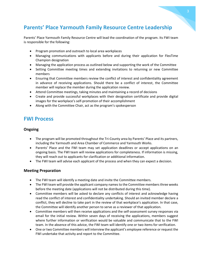# **Parents' Place Yarmouth Family Resource Centre Leadership**

Parents' Place Yarmouth Family Resource Centre will lead the coordination of the program. Its FWI team is responsible for the following:

- Program promotion and outreach to local area workplaces
- Managing communications with applicants before and during their application for FlexTime Champion designation
- Managing the application process as outlined below and supporting the work of the Committee
- Setting Committee meeting times and extending invitations to returning or new Committee members
- Ensuring that Committee members review the conflict of interest and confidentiality agreement in advance of receiving applications. Should there be a conflict of interest, the Committee member will replace the member during the application review.
- Attend Committee meetings, taking minutes and maintaining a record of decisions
- Create and provide successful workplaces with their designation certificate and provide digital images for the workplace's self-promotion of their accomplishment
- Along with the Committee Chair, act as the program's spokesperson

#### **FWI Process**

#### **Ongoing**

- The program will be promoted throughout the Tri-County area by Parents' Place and its partners, including the Yarmouth and Area Chamber of Commerce and Yarmouth Works.
- Parents' Place and the FWI team may set application deadlines or accept applications on an ongoing basis. The FWI team will review applications for completeness. If information is missing, they will reach out to applicants for clarification or additional information.
- The FWI team will advise each applicant of the process and when they can expect a decision.

#### **Meeting Preparation**

- The FWI team will identify a meeting date and invite the Committee members.
- The FWI team will provide the applicant company names to the Committee members three weeks before the meeting date (applications will not be distributed during this time).
- Committee members will be asked to declare any conflicts of interest and acknowledge having read the conflict of interest and confidentiality undertaking. Should an invited member declare a conflict, they will decline to take part in the review of that workplace's application. In that case, the Committee will identify another person to serve as a reviewer of that application.
- Committee members will then receive applications and the self-assessment survey responses via email for the initial review. Within seven days of receiving the applications, members suggest where further information or verification would be valuable and communicate that to the FWI team. In the absence of this advice, the FWI team will identify one or two items for verification.
- One or two Committee members will interview the applicant's employee reference or request the FWI undertake that activity and report to the Committee.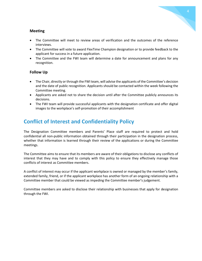#### **Meeting**

- The Committee will meet to review areas of verification and the outcomes of the reference interviews.
- The Committee will vote to award FlexTime Champion designation or to provide feedback to the applicant for success in a future application.
- The Committee and the FWI team will determine a date for announcement and plans for any recognition.

#### **Follow Up**

- The Chair, directly or through the FWI team, will advise the applicants of the Committee's decision and the date of public recognition. Applicants should be contacted within the week following the Committee meeting.
- Applicants are asked not to share the decision until after the Committee publicly announces its decisions.
- The FWI team will provide successful applicants with the designation certificate and offer digital images to the workplace's self-promotion of their accomplishment

## **Conflict of Interest and Confidentiality Policy**

The Designation Committee members and Parents' Place staff are required to protect and hold confidential all non-public information obtained through their participation in the designation process, whether that information is learned through their review of the applications or during the Committee meetings.

The Committee aims to ensure that its members are aware of their obligations to disclose any conflicts of interest that they may have and to comply with this policy to ensure they effectively manage those conflicts of interest as Committee members.

A conflict of interest may occur if the applicant workplace is owned or managed by the member's family, extended family, friend, or if the applicant workplace has another form of an ongoing relationship with a Committee member that could be viewed as impeding the Committee member's judgement.

Committee members are asked to disclose their relationship with businesses that apply for designation through the FWI.